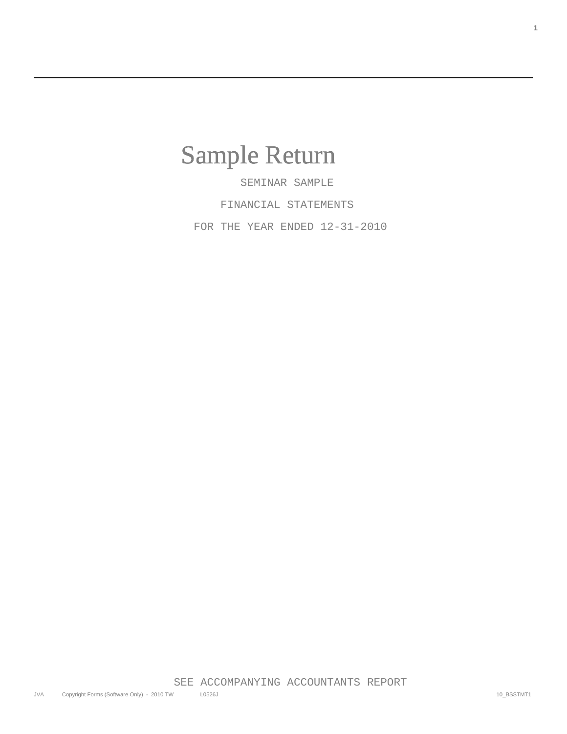## Sample Return

 SEMINAR SAMPLE FINANCIAL STATEMENTS FOR THE YEAR ENDED 12-31-2010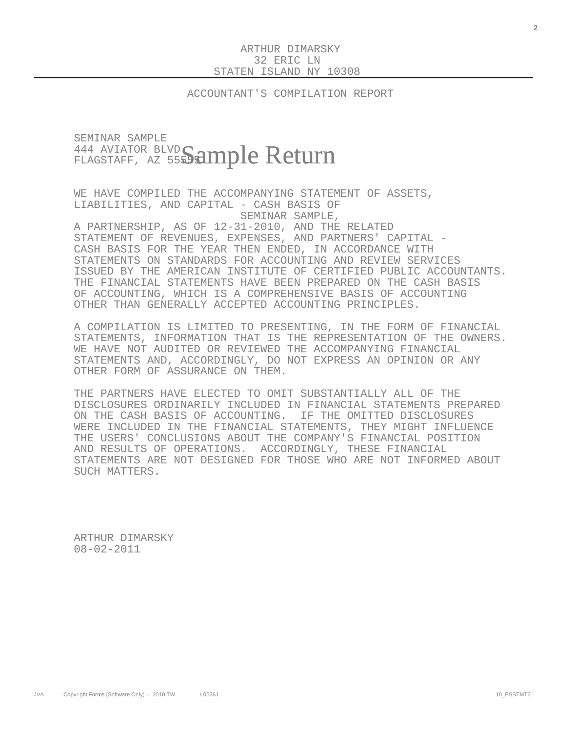ACCOUNTANT'S COMPILATION REPORT

## SEMINAR SAMPLE 444 AVIATOR BLVD. <sup>444 AVIATOR BLVD</sup>Sample Return

 WE HAVE COMPILED THE ACCOMPANYING STATEMENT OF ASSETS, LIABILITIES, AND CAPITAL - CASH BASIS OF SEMINAR SAMPLE,

 A PARTNERSHIP, AS OF 12-31-2010, AND THE RELATED STATEMENT OF REVENUES, EXPENSES, AND PARTNERS' CAPITAL - CASH BASIS FOR THE YEAR THEN ENDED, IN ACCORDANCE WITH STATEMENTS ON STANDARDS FOR ACCOUNTING AND REVIEW SERVICES ISSUED BY THE AMERICAN INSTITUTE OF CERTIFIED PUBLIC ACCOUNTANTS. THE FINANCIAL STATEMENTS HAVE BEEN PREPARED ON THE CASH BASIS OF ACCOUNTING, WHICH IS A COMPREHENSIVE BASIS OF ACCOUNTING OTHER THAN GENERALLY ACCEPTED ACCOUNTING PRINCIPLES.

 A COMPILATION IS LIMITED TO PRESENTING, IN THE FORM OF FINANCIAL STATEMENTS, INFORMATION THAT IS THE REPRESENTATION OF THE OWNERS. WE HAVE NOT AUDITED OR REVIEWED THE ACCOMPANYING FINANCIAL STATEMENTS AND, ACCORDINGLY, DO NOT EXPRESS AN OPINION OR ANY OTHER FORM OF ASSURANCE ON THEM.

 THE PARTNERS HAVE ELECTED TO OMIT SUBSTANTIALLY ALL OF THE DISCLOSURES ORDINARILY INCLUDED IN FINANCIAL STATEMENTS PREPARED ON THE CASH BASIS OF ACCOUNTING. IF THE OMITTED DISCLOSURES WERE INCLUDED IN THE FINANCIAL STATEMENTS, THEY MIGHT INFLUENCE THE USERS' CONCLUSIONS ABOUT THE COMPANY'S FINANCIAL POSITION AND RESULTS OF OPERATIONS. ACCORDINGLY, THESE FINANCIAL STATEMENTS ARE NOT DESIGNED FOR THOSE WHO ARE NOT INFORMED ABOUT SUCH MATTERS.

 ARTHUR DIMARSKY 08-02-2011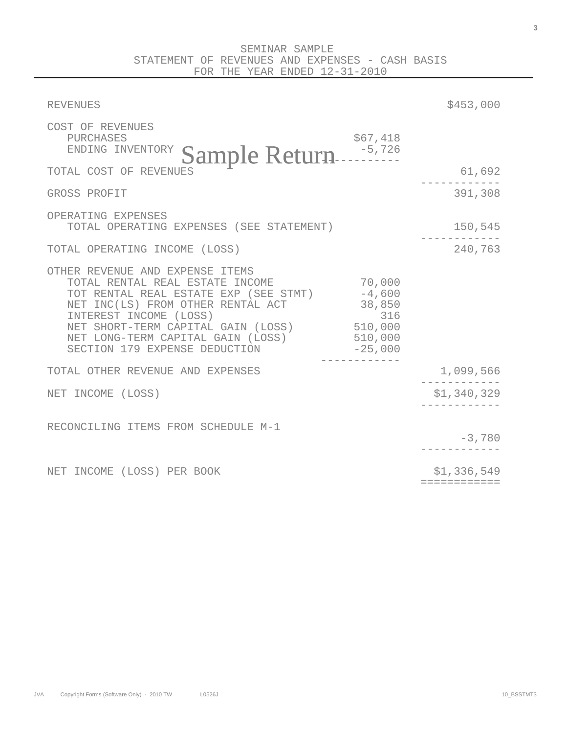| <b>REVENUES</b>                                                                                                                                                                                                                                                                               |                                                            | \$453,000                   |
|-----------------------------------------------------------------------------------------------------------------------------------------------------------------------------------------------------------------------------------------------------------------------------------------------|------------------------------------------------------------|-----------------------------|
| COST OF REVENUES<br>PURCHASES<br>Sample Return<br>ENDING INVENTORY                                                                                                                                                                                                                            | \$67,418                                                   |                             |
| TOTAL COST OF REVENUES                                                                                                                                                                                                                                                                        |                                                            | 61,692                      |
| GROSS PROFIT                                                                                                                                                                                                                                                                                  |                                                            | 391,308                     |
| OPERATING EXPENSES<br>TOTAL OPERATING EXPENSES (SEE STATEMENT)                                                                                                                                                                                                                                |                                                            | 150,545                     |
| TOTAL OPERATING INCOME (LOSS)                                                                                                                                                                                                                                                                 |                                                            | 240,763                     |
| OTHER REVENUE AND EXPENSE ITEMS<br>TOTAL RENTAL REAL ESTATE INCOME<br>TOT RENTAL REAL ESTATE EXP (SEE STMT) -4,600<br>NET INC(LS) FROM OTHER RENTAL ACT<br>INTEREST INCOME (LOSS)<br>NET SHORT-TERM CAPITAL GAIN (LOSS)<br>NET LONG-TERM CAPITAL GAIN (LOSS)<br>SECTION 179 EXPENSE DEDUCTION | 70,000<br>38,850<br>316<br>510,000<br>510,000<br>$-25,000$ |                             |
| TOTAL OTHER REVENUE AND EXPENSES                                                                                                                                                                                                                                                              |                                                            | 1,099,566                   |
| NET INCOME (LOSS)                                                                                                                                                                                                                                                                             |                                                            | \$1,340,329                 |
| RECONCILING ITEMS FROM SCHEDULE M-1                                                                                                                                                                                                                                                           |                                                            | $-3,780$                    |
| NET INCOME (LOSS) PER BOOK                                                                                                                                                                                                                                                                    |                                                            | \$1,336,549<br>============ |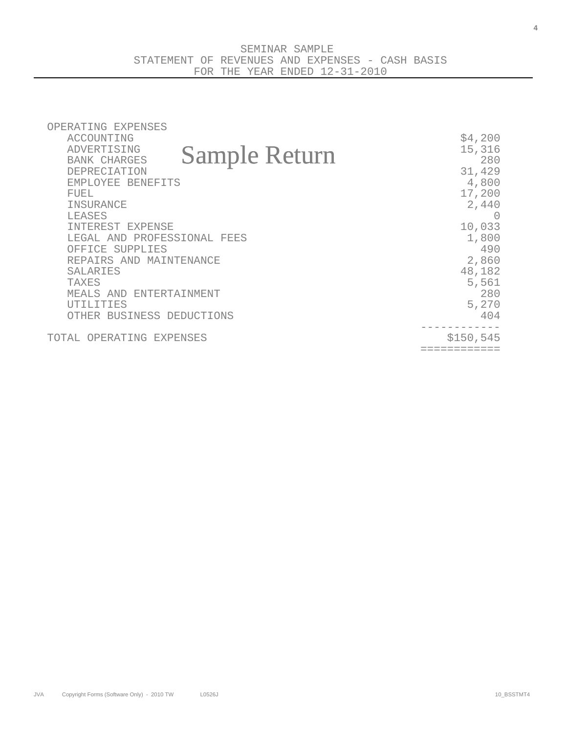| OPERATING EXPENSES<br>ACCOUNTING<br>ADVERTISING<br><b>Sample Return</b><br><b>BANK CHARGES</b><br>DEPRECIATION<br>EMPLOYEE BENEFITS<br>FUEL<br>INSURANCE<br><b>TEASES</b><br>INTEREST EXPENSE<br>LEGAL AND PROFESSIONAL FEES<br>OFFICE SUPPLIES<br>REPAIRS AND MAINTENANCE<br><b>SALARIES</b><br><b>TAXES</b><br>MEALS AND ENTERTAINMENT<br><b>UTILITIES</b><br>OTHER BUSINESS DEDUCTIONS | \$4,200<br>15,316<br>280<br>31,429<br>4,800<br>17,200<br>2,440<br>$\left( \right)$<br>10,033<br>1,800<br>490<br>2,860<br>48,182<br>5,561<br>280<br>5,270<br>404 |
|-------------------------------------------------------------------------------------------------------------------------------------------------------------------------------------------------------------------------------------------------------------------------------------------------------------------------------------------------------------------------------------------|-----------------------------------------------------------------------------------------------------------------------------------------------------------------|
| TOTAL OPERATING EXPENSES                                                                                                                                                                                                                                                                                                                                                                  | \$150, 545                                                                                                                                                      |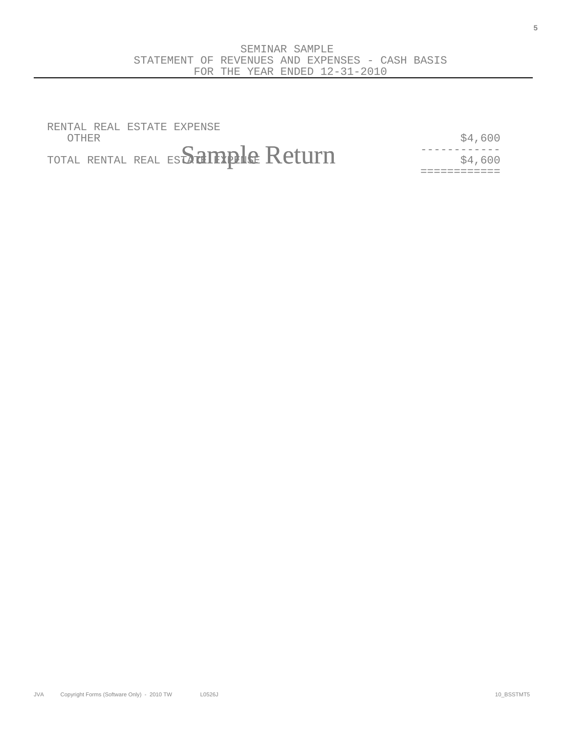RENTAL REAL ESTATE EXPENSE  $\text{OFHER}$   $\frac{1}{2}$   $\frac{1}{2}$   $\frac{1}{2}$   $\frac{1}{2}$   $\frac{1}{2}$   $\frac{1}{2}$   $\frac{1}{2}$   $\frac{1}{2}$   $\frac{1}{2}$   $\frac{1}{2}$   $\frac{1}{2}$   $\frac{1}{2}$   $\frac{1}{2}$   $\frac{1}{2}$   $\frac{1}{2}$   $\frac{1}{2}$   $\frac{1}{2}$   $\frac{1}{2}$   $\frac{1}{2}$   $\frac{1}{2}$   $\frac{1}{2}$   $\$ 

------------ TOTAL RENTAL REAL ESTATE EXPENSE \$4,600 Sample Return

============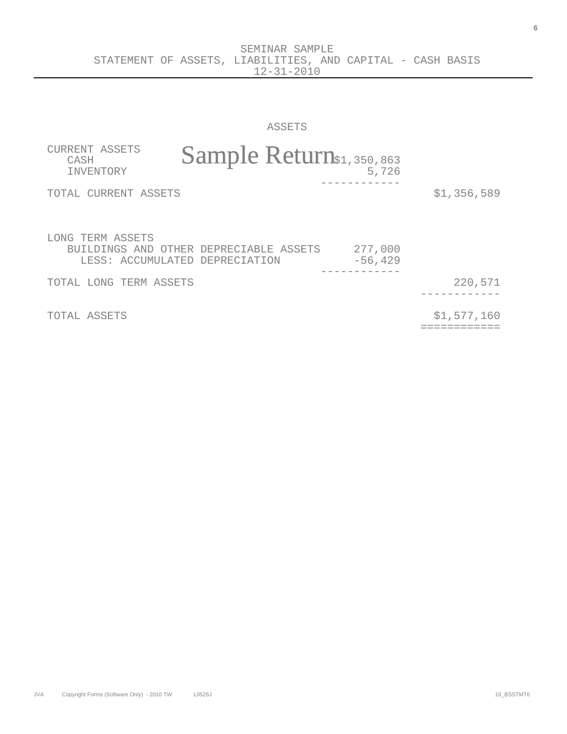SEMINAR SAMPLE STATEMENT OF ASSETS, LIABILITIES, AND CAPITAL - CASH BASIS 12-31-2010

ASSETS

| CURRENT ASSETS<br>CASH<br>INVENTORY | Sample Return\$1,350,863                                                 | 5,726                 |             |
|-------------------------------------|--------------------------------------------------------------------------|-----------------------|-------------|
| TOTAL CURRENT ASSETS                |                                                                          |                       | \$1,356,589 |
| LONG TERM ASSETS                    | BUILDINGS AND OTHER DEPRECIABLE ASSETS<br>LESS: ACCUMULATED DEPRECIATION | 277,000<br>$-56, 429$ |             |
| TOTAL LONG TERM ASSETS              |                                                                          |                       | 220,571     |
| TOTAL ASSETS                        |                                                                          |                       | \$1,577,160 |

JVA Copyright Forms (Software Only) - 2010 TW L0526J L0526 10\_0526 10\_0526 10\_053TMT6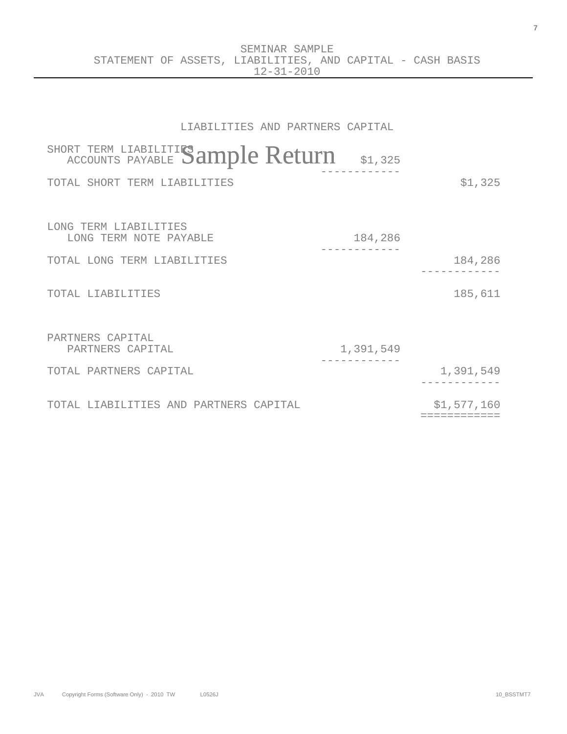## LIABILITIES AND PARTNERS CAPITAL

| SHORT TERM LIABILITIES ample Return             | \$1,325   |                            |
|-------------------------------------------------|-----------|----------------------------|
| TOTAL SHORT TERM LIABILITIES                    |           | \$1,325                    |
| LONG TERM LIABILITIES<br>LONG TERM NOTE PAYABLE | 184,286   |                            |
| TOTAL LONG TERM LIABILITIES                     |           | 184,286                    |
| TOTAL LIABILITIES                               |           | 185,611                    |
| PARTNERS CAPITAL<br>PARTNERS CAPITAL            | 1,391,549 |                            |
| TOTAL PARTNERS CAPITAL                          |           | 1,391,549                  |
| TOTAL LIABILITIES AND PARTNERS CAPITAL          |           | \$1,577,160<br>=========== |

**7**